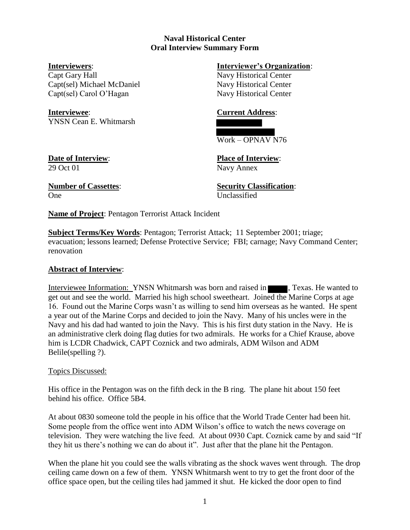## **Naval Historical Center Oral Interview Summary Form**

Capt Gary Hall Navy Historical Center Capt(sel) Michael McDaniel Navy Historical Center Capt(sel) Carol O'Hagan Navy Historical Center

**Interviewee**: **Current Address**: YNSN Cean E. Whitmarsh

# **Interviewers**: **Interviewer's Organization**:



## Work – OPNAV N76

29 Oct 01 Navy Annex

**Date of Interview**: **Place of Interview**:

One Unclassified

**Number of Cassettes**: **Security Classification**:

**Name of Project**: Pentagon Terrorist Attack Incident

**Subject Terms/Key Words**: Pentagon; Terrorist Attack; 11 September 2001; triage; evacuation; lessons learned; Defense Protective Service; FBI; carnage; Navy Command Center; renovation

## **Abstract of Interview**:

Interviewee Information: YNSN Whitmarsh was born and raised in **Texas.** He wanted to get out and see the world. Married his high school sweetheart. Joined the Marine Corps at age 16. Found out the Marine Corps wasn't as willing to send him overseas as he wanted. He spent a year out of the Marine Corps and decided to join the Navy. Many of his uncles were in the Navy and his dad had wanted to join the Navy. This is his first duty station in the Navy. He is an administrative clerk doing flag duties for two admirals. He works for a Chief Krause, above him is LCDR Chadwick, CAPT Coznick and two admirals, ADM Wilson and ADM Belile(spelling ?).

## Topics Discussed:

His office in the Pentagon was on the fifth deck in the B ring. The plane hit about 150 feet behind his office. Office 5B4.

At about 0830 someone told the people in his office that the World Trade Center had been hit. Some people from the office went into ADM Wilson's office to watch the news coverage on television. They were watching the live feed. At about 0930 Capt. Coznick came by and said "If they hit us there's nothing we can do about it". Just after that the plane hit the Pentagon.

When the plane hit you could see the walls vibrating as the shock waves went through. The drop ceiling came down on a few of them. YNSN Whitmarsh went to try to get the front door of the office space open, but the ceiling tiles had jammed it shut. He kicked the door open to find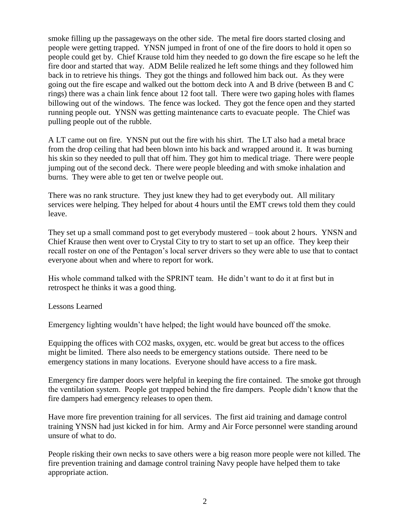smoke filling up the passageways on the other side. The metal fire doors started closing and people were getting trapped. YNSN jumped in front of one of the fire doors to hold it open so people could get by. Chief Krause told him they needed to go down the fire escape so he left the fire door and started that way. ADM Belile realized he left some things and they followed him back in to retrieve his things. They got the things and followed him back out. As they were going out the fire escape and walked out the bottom deck into A and B drive (between B and C rings) there was a chain link fence about 12 foot tall. There were two gaping holes with flames billowing out of the windows. The fence was locked. They got the fence open and they started running people out. YNSN was getting maintenance carts to evacuate people. The Chief was pulling people out of the rubble.

A LT came out on fire. YNSN put out the fire with his shirt. The LT also had a metal brace from the drop ceiling that had been blown into his back and wrapped around it. It was burning his skin so they needed to pull that off him. They got him to medical triage. There were people jumping out of the second deck. There were people bleeding and with smoke inhalation and burns. They were able to get ten or twelve people out.

There was no rank structure. They just knew they had to get everybody out. All military services were helping. They helped for about 4 hours until the EMT crews told them they could leave.

They set up a small command post to get everybody mustered – took about 2 hours. YNSN and Chief Krause then went over to Crystal City to try to start to set up an office. They keep their recall roster on one of the Pentagon's local server drivers so they were able to use that to contact everyone about when and where to report for work.

His whole command talked with the SPRINT team. He didn't want to do it at first but in retrospect he thinks it was a good thing.

Lessons Learned

Emergency lighting wouldn't have helped; the light would have bounced off the smoke.

Equipping the offices with CO2 masks, oxygen, etc. would be great but access to the offices might be limited. There also needs to be emergency stations outside. There need to be emergency stations in many locations. Everyone should have access to a fire mask.

Emergency fire damper doors were helpful in keeping the fire contained. The smoke got through the ventilation system. People got trapped behind the fire dampers. People didn't know that the fire dampers had emergency releases to open them.

Have more fire prevention training for all services. The first aid training and damage control training YNSN had just kicked in for him. Army and Air Force personnel were standing around unsure of what to do.

People risking their own necks to save others were a big reason more people were not killed. The fire prevention training and damage control training Navy people have helped them to take appropriate action.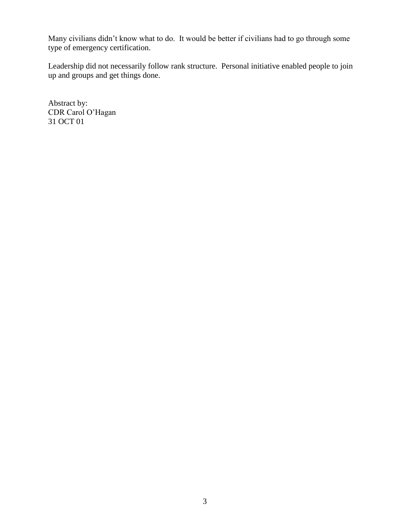Many civilians didn't know what to do. It would be better if civilians had to go through some type of emergency certification.

Leadership did not necessarily follow rank structure. Personal initiative enabled people to join up and groups and get things done.

Abstract by: CDR Carol O'Hagan 31 OCT 01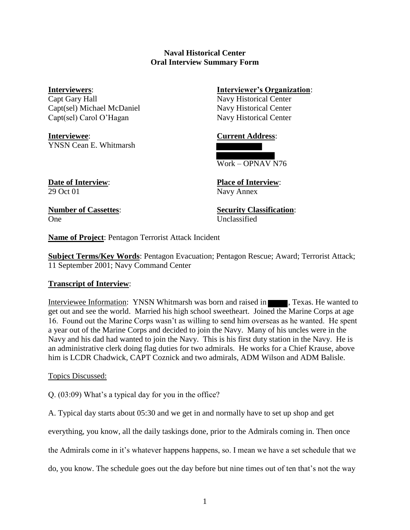## **Naval Historical Center Oral Interview Summary Form**

Capt Gary Hall Navy Historical Center Capt(sel) Michael McDaniel Navy Historical Center Capt(sel) Carol O'Hagan Navy Historical Center

**Interviewee**: **Current Address**: YNSN Cean E. Whitmarsh

**Interviewers**: **Interviewer's Organization**:



**Date of Interview**: **Place of Interview**: 29 Oct 01 Navy Annex

One Unclassified

**Number of Cassettes**: **Security Classification**:

**Name of Project**: Pentagon Terrorist Attack Incident

**Subject Terms/Key Words**: Pentagon Evacuation; Pentagon Rescue; Award; Terrorist Attack; 11 September 2001; Navy Command Center

## **Transcript of Interview**:

Interviewee Information: YNSN Whitmarsh was born and raised in **Texas.** He wanted to get out and see the world. Married his high school sweetheart. Joined the Marine Corps at age 16. Found out the Marine Corps wasn't as willing to send him overseas as he wanted. He spent a year out of the Marine Corps and decided to join the Navy. Many of his uncles were in the Navy and his dad had wanted to join the Navy. This is his first duty station in the Navy. He is an administrative clerk doing flag duties for two admirals. He works for a Chief Krause, above him is LCDR Chadwick, CAPT Coznick and two admirals, ADM Wilson and ADM Balisle.

## Topics Discussed:

Q. (03:09) What's a typical day for you in the office?

A. Typical day starts about 05:30 and we get in and normally have to set up shop and get

everything, you know, all the daily taskings done, prior to the Admirals coming in. Then once

the Admirals come in it's whatever happens happens, so. I mean we have a set schedule that we

do, you know. The schedule goes out the day before but nine times out of ten that's not the way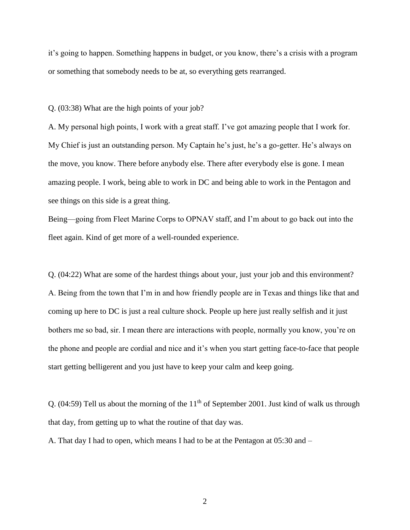it's going to happen. Something happens in budget, or you know, there's a crisis with a program or something that somebody needs to be at, so everything gets rearranged.

Q. (03:38) What are the high points of your job?

A. My personal high points, I work with a great staff. I've got amazing people that I work for. My Chief is just an outstanding person. My Captain he's just, he's a go-getter. He's always on the move, you know. There before anybody else. There after everybody else is gone. I mean amazing people. I work, being able to work in DC and being able to work in the Pentagon and see things on this side is a great thing.

Being—going from Fleet Marine Corps to OPNAV staff, and I'm about to go back out into the fleet again. Kind of get more of a well-rounded experience.

Q. (04:22) What are some of the hardest things about your, just your job and this environment? A. Being from the town that I'm in and how friendly people are in Texas and things like that and coming up here to DC is just a real culture shock. People up here just really selfish and it just bothers me so bad, sir. I mean there are interactions with people, normally you know, you're on the phone and people are cordial and nice and it's when you start getting face-to-face that people start getting belligerent and you just have to keep your calm and keep going.

Q. (04:59) Tell us about the morning of the  $11<sup>th</sup>$  of September 2001. Just kind of walk us through that day, from getting up to what the routine of that day was.

A. That day I had to open, which means I had to be at the Pentagon at 05:30 and –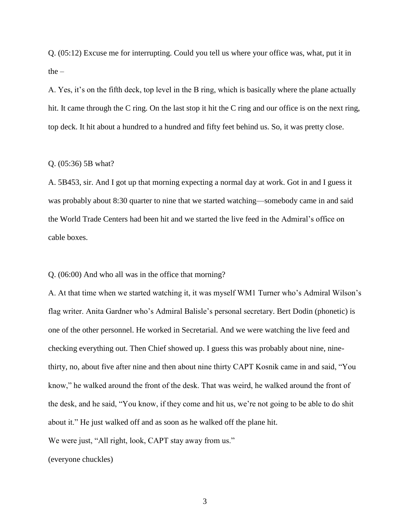Q. (05:12) Excuse me for interrupting. Could you tell us where your office was, what, put it in the –

A. Yes, it's on the fifth deck, top level in the B ring, which is basically where the plane actually hit. It came through the C ring. On the last stop it hit the C ring and our office is on the next ring, top deck. It hit about a hundred to a hundred and fifty feet behind us. So, it was pretty close.

## Q. (05:36) 5B what?

A. 5B453, sir. And I got up that morning expecting a normal day at work. Got in and I guess it was probably about 8:30 quarter to nine that we started watching—somebody came in and said the World Trade Centers had been hit and we started the live feed in the Admiral's office on cable boxes.

Q. (06:00) And who all was in the office that morning?

A. At that time when we started watching it, it was myself WM1 Turner who's Admiral Wilson's flag writer. Anita Gardner who's Admiral Balisle's personal secretary. Bert Dodin (phonetic) is one of the other personnel. He worked in Secretarial. And we were watching the live feed and checking everything out. Then Chief showed up. I guess this was probably about nine, ninethirty, no, about five after nine and then about nine thirty CAPT Kosnik came in and said, "You know," he walked around the front of the desk. That was weird, he walked around the front of the desk, and he said, "You know, if they come and hit us, we're not going to be able to do shit about it." He just walked off and as soon as he walked off the plane hit. We were just, "All right, look, CAPT stay away from us."

(everyone chuckles)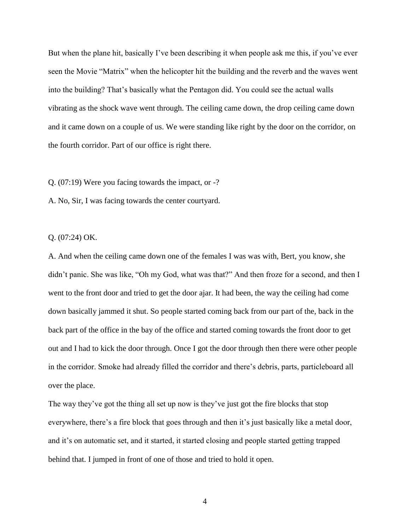But when the plane hit, basically I've been describing it when people ask me this, if you've ever seen the Movie "Matrix" when the helicopter hit the building and the reverb and the waves went into the building? That's basically what the Pentagon did. You could see the actual walls vibrating as the shock wave went through. The ceiling came down, the drop ceiling came down and it came down on a couple of us. We were standing like right by the door on the corridor, on the fourth corridor. Part of our office is right there.

Q. (07:19) Were you facing towards the impact, or -?

A. No, Sir, I was facing towards the center courtyard.

Q. (07:24) OK.

A. And when the ceiling came down one of the females I was was with, Bert, you know, she didn't panic. She was like, "Oh my God, what was that?" And then froze for a second, and then I went to the front door and tried to get the door ajar. It had been, the way the ceiling had come down basically jammed it shut. So people started coming back from our part of the, back in the back part of the office in the bay of the office and started coming towards the front door to get out and I had to kick the door through. Once I got the door through then there were other people in the corridor. Smoke had already filled the corridor and there's debris, parts, particleboard all over the place.

The way they've got the thing all set up now is they've just got the fire blocks that stop everywhere, there's a fire block that goes through and then it's just basically like a metal door, and it's on automatic set, and it started, it started closing and people started getting trapped behind that. I jumped in front of one of those and tried to hold it open.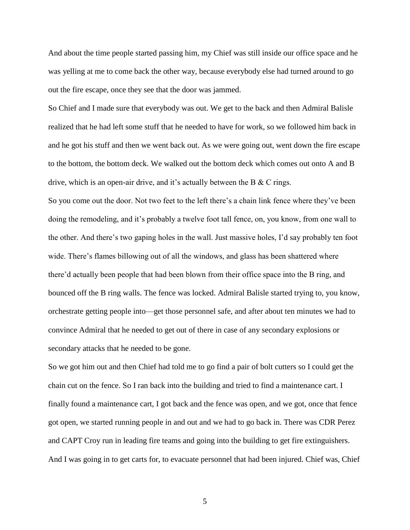And about the time people started passing him, my Chief was still inside our office space and he was yelling at me to come back the other way, because everybody else had turned around to go out the fire escape, once they see that the door was jammed.

So Chief and I made sure that everybody was out. We get to the back and then Admiral Balisle realized that he had left some stuff that he needed to have for work, so we followed him back in and he got his stuff and then we went back out. As we were going out, went down the fire escape to the bottom, the bottom deck. We walked out the bottom deck which comes out onto A and B drive, which is an open-air drive, and it's actually between the B & C rings.

So you come out the door. Not two feet to the left there's a chain link fence where they've been doing the remodeling, and it's probably a twelve foot tall fence, on, you know, from one wall to the other. And there's two gaping holes in the wall. Just massive holes, I'd say probably ten foot wide. There's flames billowing out of all the windows, and glass has been shattered where there'd actually been people that had been blown from their office space into the B ring, and bounced off the B ring walls. The fence was locked. Admiral Balisle started trying to, you know, orchestrate getting people into—get those personnel safe, and after about ten minutes we had to convince Admiral that he needed to get out of there in case of any secondary explosions or secondary attacks that he needed to be gone.

So we got him out and then Chief had told me to go find a pair of bolt cutters so I could get the chain cut on the fence. So I ran back into the building and tried to find a maintenance cart. I finally found a maintenance cart, I got back and the fence was open, and we got, once that fence got open, we started running people in and out and we had to go back in. There was CDR Perez and CAPT Croy run in leading fire teams and going into the building to get fire extinguishers. And I was going in to get carts for, to evacuate personnel that had been injured. Chief was, Chief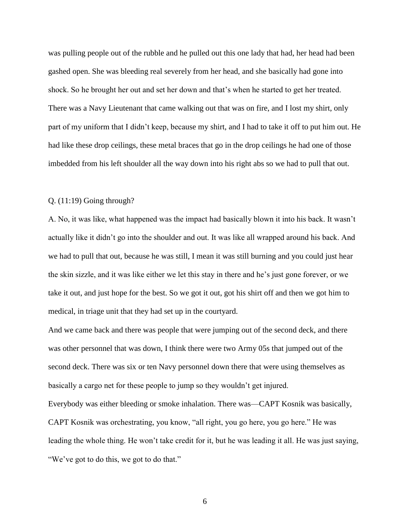was pulling people out of the rubble and he pulled out this one lady that had, her head had been gashed open. She was bleeding real severely from her head, and she basically had gone into shock. So he brought her out and set her down and that's when he started to get her treated. There was a Navy Lieutenant that came walking out that was on fire, and I lost my shirt, only part of my uniform that I didn't keep, because my shirt, and I had to take it off to put him out. He had like these drop ceilings, these metal braces that go in the drop ceilings he had one of those imbedded from his left shoulder all the way down into his right abs so we had to pull that out.

## Q. (11:19) Going through?

A. No, it was like, what happened was the impact had basically blown it into his back. It wasn't actually like it didn't go into the shoulder and out. It was like all wrapped around his back. And we had to pull that out, because he was still, I mean it was still burning and you could just hear the skin sizzle, and it was like either we let this stay in there and he's just gone forever, or we take it out, and just hope for the best. So we got it out, got his shirt off and then we got him to medical, in triage unit that they had set up in the courtyard.

And we came back and there was people that were jumping out of the second deck, and there was other personnel that was down, I think there were two Army 05s that jumped out of the second deck. There was six or ten Navy personnel down there that were using themselves as basically a cargo net for these people to jump so they wouldn't get injured. Everybody was either bleeding or smoke inhalation. There was—CAPT Kosnik was basically, CAPT Kosnik was orchestrating, you know, "all right, you go here, you go here." He was leading the whole thing. He won't take credit for it, but he was leading it all. He was just saying, "We've got to do this, we got to do that."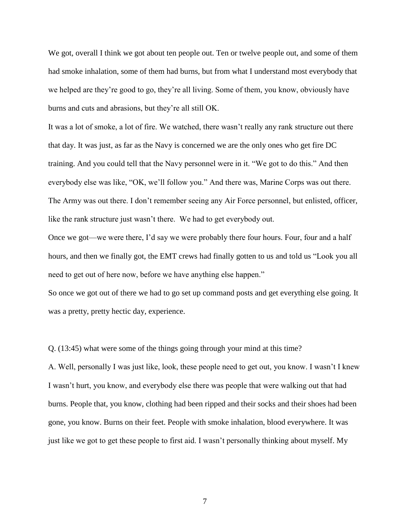We got, overall I think we got about ten people out. Ten or twelve people out, and some of them had smoke inhalation, some of them had burns, but from what I understand most everybody that we helped are they're good to go, they're all living. Some of them, you know, obviously have burns and cuts and abrasions, but they're all still OK.

It was a lot of smoke, a lot of fire. We watched, there wasn't really any rank structure out there that day. It was just, as far as the Navy is concerned we are the only ones who get fire DC training. And you could tell that the Navy personnel were in it. "We got to do this." And then everybody else was like, "OK, we'll follow you." And there was, Marine Corps was out there. The Army was out there. I don't remember seeing any Air Force personnel, but enlisted, officer, like the rank structure just wasn't there. We had to get everybody out.

Once we got—we were there, I'd say we were probably there four hours. Four, four and a half hours, and then we finally got, the EMT crews had finally gotten to us and told us "Look you all need to get out of here now, before we have anything else happen."

So once we got out of there we had to go set up command posts and get everything else going. It was a pretty, pretty hectic day, experience.

Q. (13:45) what were some of the things going through your mind at this time?

A. Well, personally I was just like, look, these people need to get out, you know. I wasn't I knew I wasn't hurt, you know, and everybody else there was people that were walking out that had burns. People that, you know, clothing had been ripped and their socks and their shoes had been gone, you know. Burns on their feet. People with smoke inhalation, blood everywhere. It was just like we got to get these people to first aid. I wasn't personally thinking about myself. My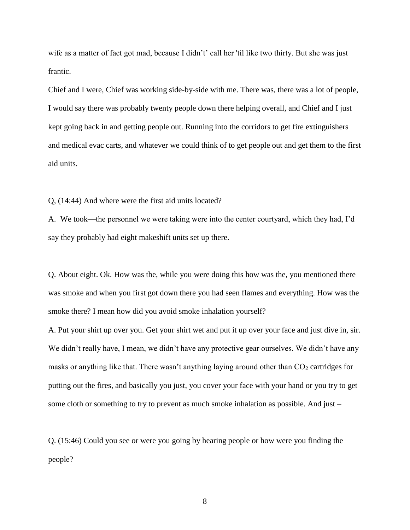wife as a matter of fact got mad, because I didn't' call her 'til like two thirty. But she was just frantic.

Chief and I were, Chief was working side-by-side with me. There was, there was a lot of people, I would say there was probably twenty people down there helping overall, and Chief and I just kept going back in and getting people out. Running into the corridors to get fire extinguishers and medical evac carts, and whatever we could think of to get people out and get them to the first aid units.

Q, (14:44) And where were the first aid units located?

A. We took—the personnel we were taking were into the center courtyard, which they had, I'd say they probably had eight makeshift units set up there.

Q. About eight. Ok. How was the, while you were doing this how was the, you mentioned there was smoke and when you first got down there you had seen flames and everything. How was the smoke there? I mean how did you avoid smoke inhalation yourself?

A. Put your shirt up over you. Get your shirt wet and put it up over your face and just dive in, sir. We didn't really have, I mean, we didn't have any protective gear ourselves. We didn't have any masks or anything like that. There wasn't anything laying around other than  $CO<sub>2</sub>$  cartridges for putting out the fires, and basically you just, you cover your face with your hand or you try to get some cloth or something to try to prevent as much smoke inhalation as possible. And just –

Q. (15:46) Could you see or were you going by hearing people or how were you finding the people?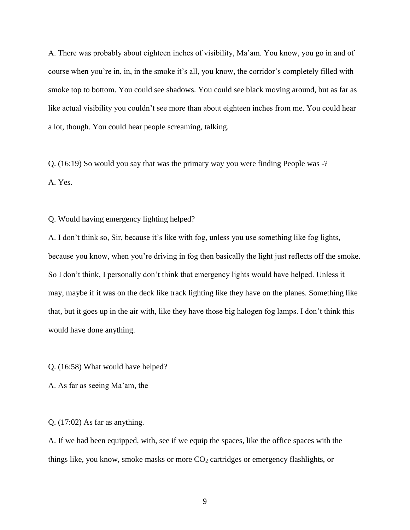A. There was probably about eighteen inches of visibility, Ma'am. You know, you go in and of course when you're in, in, in the smoke it's all, you know, the corridor's completely filled with smoke top to bottom. You could see shadows. You could see black moving around, but as far as like actual visibility you couldn't see more than about eighteen inches from me. You could hear a lot, though. You could hear people screaming, talking.

Q. (16:19) So would you say that was the primary way you were finding People was -? A. Yes.

Q. Would having emergency lighting helped?

A. I don't think so, Sir, because it's like with fog, unless you use something like fog lights, because you know, when you're driving in fog then basically the light just reflects off the smoke. So I don't think, I personally don't think that emergency lights would have helped. Unless it may, maybe if it was on the deck like track lighting like they have on the planes. Something like that, but it goes up in the air with, like they have those big halogen fog lamps. I don't think this would have done anything.

Q. (16:58) What would have helped?

A. As far as seeing Ma'am, the –

Q. (17:02) As far as anything.

A. If we had been equipped, with, see if we equip the spaces, like the office spaces with the things like, you know, smoke masks or more CO<sub>2</sub> cartridges or emergency flashlights, or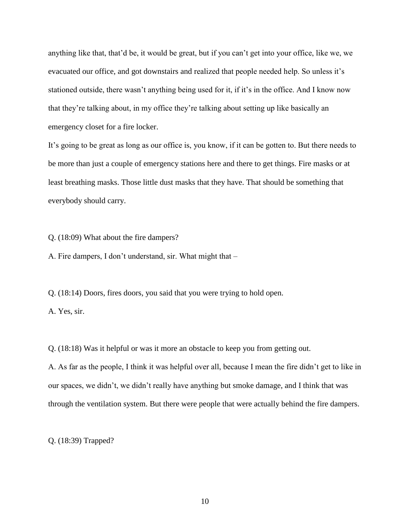anything like that, that'd be, it would be great, but if you can't get into your office, like we, we evacuated our office, and got downstairs and realized that people needed help. So unless it's stationed outside, there wasn't anything being used for it, if it's in the office. And I know now that they're talking about, in my office they're talking about setting up like basically an emergency closet for a fire locker.

It's going to be great as long as our office is, you know, if it can be gotten to. But there needs to be more than just a couple of emergency stations here and there to get things. Fire masks or at least breathing masks. Those little dust masks that they have. That should be something that everybody should carry.

Q. (18:09) What about the fire dampers?

A. Fire dampers, I don't understand, sir. What might that –

Q. (18:14) Doors, fires doors, you said that you were trying to hold open.

A. Yes, sir.

Q. (18:18) Was it helpful or was it more an obstacle to keep you from getting out.

A. As far as the people, I think it was helpful over all, because I mean the fire didn't get to like in our spaces, we didn't, we didn't really have anything but smoke damage, and I think that was through the ventilation system. But there were people that were actually behind the fire dampers.

Q. (18:39) Trapped?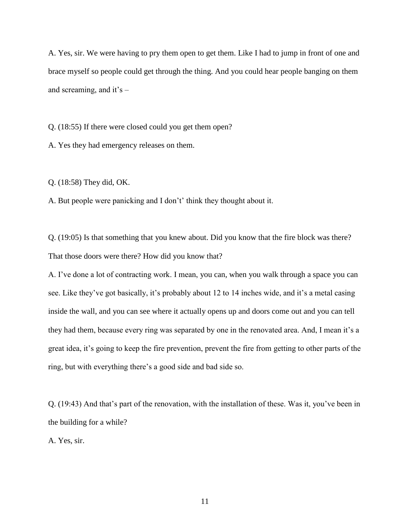A. Yes, sir. We were having to pry them open to get them. Like I had to jump in front of one and brace myself so people could get through the thing. And you could hear people banging on them and screaming, and it's –

Q. (18:55) If there were closed could you get them open?

A. Yes they had emergency releases on them.

Q. (18:58) They did, OK.

A. But people were panicking and I don't' think they thought about it.

Q. (19:05) Is that something that you knew about. Did you know that the fire block was there? That those doors were there? How did you know that?

A. I've done a lot of contracting work. I mean, you can, when you walk through a space you can see. Like they've got basically, it's probably about 12 to 14 inches wide, and it's a metal casing inside the wall, and you can see where it actually opens up and doors come out and you can tell they had them, because every ring was separated by one in the renovated area. And, I mean it's a great idea, it's going to keep the fire prevention, prevent the fire from getting to other parts of the ring, but with everything there's a good side and bad side so.

Q. (19:43) And that's part of the renovation, with the installation of these. Was it, you've been in the building for a while?

A. Yes, sir.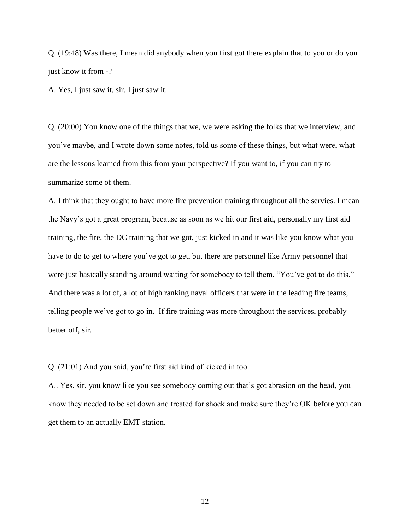Q. (19:48) Was there, I mean did anybody when you first got there explain that to you or do you just know it from -?

A. Yes, I just saw it, sir. I just saw it.

Q. (20:00) You know one of the things that we, we were asking the folks that we interview, and you've maybe, and I wrote down some notes, told us some of these things, but what were, what are the lessons learned from this from your perspective? If you want to, if you can try to summarize some of them.

A. I think that they ought to have more fire prevention training throughout all the servies. I mean the Navy's got a great program, because as soon as we hit our first aid, personally my first aid training, the fire, the DC training that we got, just kicked in and it was like you know what you have to do to get to where you've got to get, but there are personnel like Army personnel that were just basically standing around waiting for somebody to tell them, "You've got to do this." And there was a lot of, a lot of high ranking naval officers that were in the leading fire teams, telling people we've got to go in. If fire training was more throughout the services, probably better off, sir.

Q. (21:01) And you said, you're first aid kind of kicked in too.

A.. Yes, sir, you know like you see somebody coming out that's got abrasion on the head, you know they needed to be set down and treated for shock and make sure they're OK before you can get them to an actually EMT station.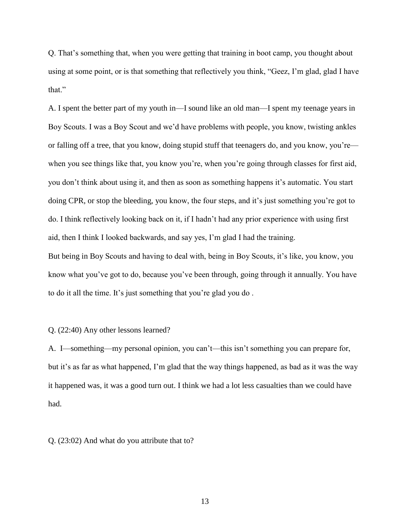Q. That's something that, when you were getting that training in boot camp, you thought about using at some point, or is that something that reflectively you think, "Geez, I'm glad, glad I have that."

A. I spent the better part of my youth in—I sound like an old man—I spent my teenage years in Boy Scouts. I was a Boy Scout and we'd have problems with people, you know, twisting ankles or falling off a tree, that you know, doing stupid stuff that teenagers do, and you know, you're when you see things like that, you know you're, when you're going through classes for first aid, you don't think about using it, and then as soon as something happens it's automatic. You start doing CPR, or stop the bleeding, you know, the four steps, and it's just something you're got to do. I think reflectively looking back on it, if I hadn't had any prior experience with using first aid, then I think I looked backwards, and say yes, I'm glad I had the training. But being in Boy Scouts and having to deal with, being in Boy Scouts, it's like, you know, you know what you've got to do, because you've been through, going through it annually. You have

to do it all the time. It's just something that you're glad you do .

Q. (22:40) Any other lessons learned?

A. I—something—my personal opinion, you can't—this isn't something you can prepare for, but it's as far as what happened, I'm glad that the way things happened, as bad as it was the way it happened was, it was a good turn out. I think we had a lot less casualties than we could have had.

Q. (23:02) And what do you attribute that to?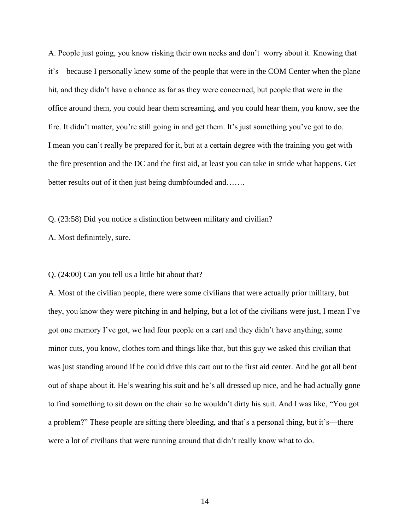A. People just going, you know risking their own necks and don't worry about it. Knowing that it's—because I personally knew some of the people that were in the COM Center when the plane hit, and they didn't have a chance as far as they were concerned, but people that were in the office around them, you could hear them screaming, and you could hear them, you know, see the fire. It didn't matter, you're still going in and get them. It's just something you've got to do. I mean you can't really be prepared for it, but at a certain degree with the training you get with the fire presention and the DC and the first aid, at least you can take in stride what happens. Get better results out of it then just being dumbfounded and…….

Q. (23:58) Did you notice a distinction between military and civilian?

A. Most definintely, sure.

#### Q. (24:00) Can you tell us a little bit about that?

A. Most of the civilian people, there were some civilians that were actually prior military, but they, you know they were pitching in and helping, but a lot of the civilians were just, I mean I've got one memory I've got, we had four people on a cart and they didn't have anything, some minor cuts, you know, clothes torn and things like that, but this guy we asked this civilian that was just standing around if he could drive this cart out to the first aid center. And he got all bent out of shape about it. He's wearing his suit and he's all dressed up nice, and he had actually gone to find something to sit down on the chair so he wouldn't dirty his suit. And I was like, "You got a problem?" These people are sitting there bleeding, and that's a personal thing, but it's—there were a lot of civilians that were running around that didn't really know what to do.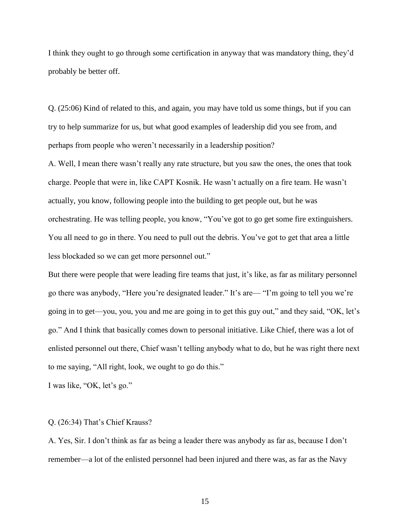I think they ought to go through some certification in anyway that was mandatory thing, they'd probably be better off.

Q. (25:06) Kind of related to this, and again, you may have told us some things, but if you can try to help summarize for us, but what good examples of leadership did you see from, and perhaps from people who weren't necessarily in a leadership position?

A. Well, I mean there wasn't really any rate structure, but you saw the ones, the ones that took charge. People that were in, like CAPT Kosnik. He wasn't actually on a fire team. He wasn't actually, you know, following people into the building to get people out, but he was orchestrating. He was telling people, you know, "You've got to go get some fire extinguishers. You all need to go in there. You need to pull out the debris. You've got to get that area a little less blockaded so we can get more personnel out."

But there were people that were leading fire teams that just, it's like, as far as military personnel go there was anybody, "Here you're designated leader." It's are— "I'm going to tell you we're going in to get—you, you, you and me are going in to get this guy out," and they said, "OK, let's go." And I think that basically comes down to personal initiative. Like Chief, there was a lot of enlisted personnel out there, Chief wasn't telling anybody what to do, but he was right there next to me saying, "All right, look, we ought to go do this."

I was like, "OK, let's go."

### Q. (26:34) That's Chief Krauss?

A. Yes, Sir. I don't think as far as being a leader there was anybody as far as, because I don't remember—a lot of the enlisted personnel had been injured and there was, as far as the Navy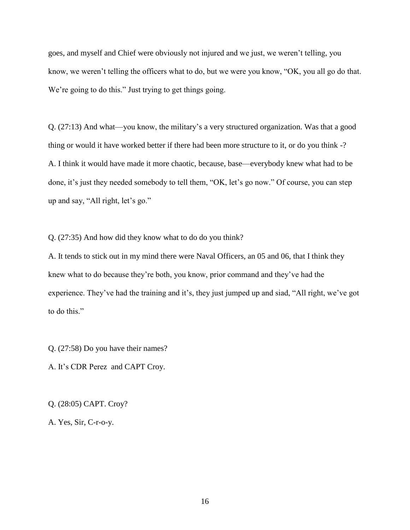goes, and myself and Chief were obviously not injured and we just, we weren't telling, you know, we weren't telling the officers what to do, but we were you know, "OK, you all go do that. We're going to do this." Just trying to get things going.

Q. (27:13) And what—you know, the military's a very structured organization. Was that a good thing or would it have worked better if there had been more structure to it, or do you think -? A. I think it would have made it more chaotic, because, base—everybody knew what had to be done, it's just they needed somebody to tell them, "OK, let's go now." Of course, you can step up and say, "All right, let's go."

Q. (27:35) And how did they know what to do do you think?

A. It tends to stick out in my mind there were Naval Officers, an 05 and 06, that I think they knew what to do because they're both, you know, prior command and they've had the experience. They've had the training and it's, they just jumped up and siad, "All right, we've got to do this."

Q. (27:58) Do you have their names?

A. It's CDR Perez and CAPT Croy.

Q. (28:05) CAPT. Croy?

A. Yes, Sir, C-r-o-y.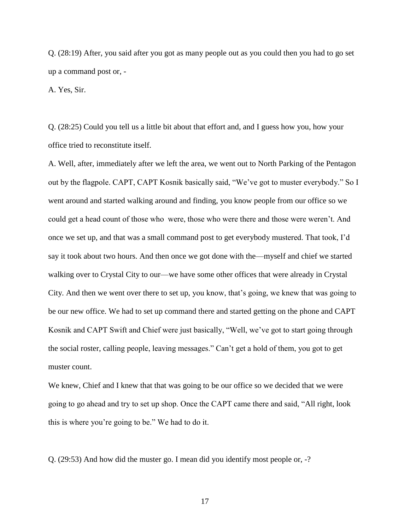Q. (28:19) After, you said after you got as many people out as you could then you had to go set up a command post or, -

A. Yes, Sir.

Q. (28:25) Could you tell us a little bit about that effort and, and I guess how you, how your office tried to reconstitute itself.

A. Well, after, immediately after we left the area, we went out to North Parking of the Pentagon out by the flagpole. CAPT, CAPT Kosnik basically said, "We've got to muster everybody." So I went around and started walking around and finding, you know people from our office so we could get a head count of those who were, those who were there and those were weren't. And once we set up, and that was a small command post to get everybody mustered. That took, I'd say it took about two hours. And then once we got done with the—myself and chief we started walking over to Crystal City to our—we have some other offices that were already in Crystal City. And then we went over there to set up, you know, that's going, we knew that was going to be our new office. We had to set up command there and started getting on the phone and CAPT Kosnik and CAPT Swift and Chief were just basically, "Well, we've got to start going through the social roster, calling people, leaving messages." Can't get a hold of them, you got to get muster count.

We knew, Chief and I knew that that was going to be our office so we decided that we were going to go ahead and try to set up shop. Once the CAPT came there and said, "All right, look this is where you're going to be." We had to do it.

Q. (29:53) And how did the muster go. I mean did you identify most people or, -?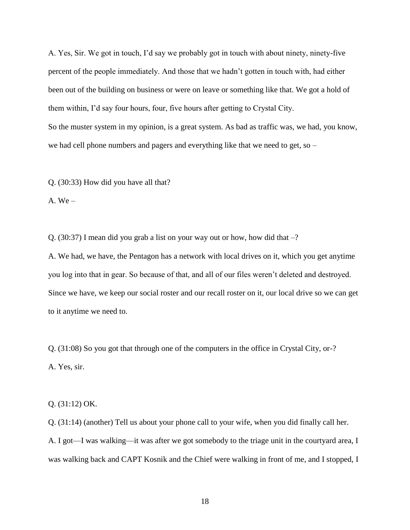A. Yes, Sir. We got in touch, I'd say we probably got in touch with about ninety, ninety-five percent of the people immediately. And those that we hadn't gotten in touch with, had either been out of the building on business or were on leave or something like that. We got a hold of them within, I'd say four hours, four, five hours after getting to Crystal City. So the muster system in my opinion, is a great system. As bad as traffic was, we had, you know, we had cell phone numbers and pagers and everything like that we need to get, so –

Q. (30:33) How did you have all that?

A.  $We –$ 

Q. (30:37) I mean did you grab a list on your way out or how, how did that –?

A. We had, we have, the Pentagon has a network with local drives on it, which you get anytime you log into that in gear. So because of that, and all of our files weren't deleted and destroyed. Since we have, we keep our social roster and our recall roster on it, our local drive so we can get to it anytime we need to.

Q. (31:08) So you got that through one of the computers in the office in Crystal City, or-? A. Yes, sir.

Q. (31:12) OK.

Q. (31:14) (another) Tell us about your phone call to your wife, when you did finally call her. A. I got—I was walking—it was after we got somebody to the triage unit in the courtyard area, I was walking back and CAPT Kosnik and the Chief were walking in front of me, and I stopped, I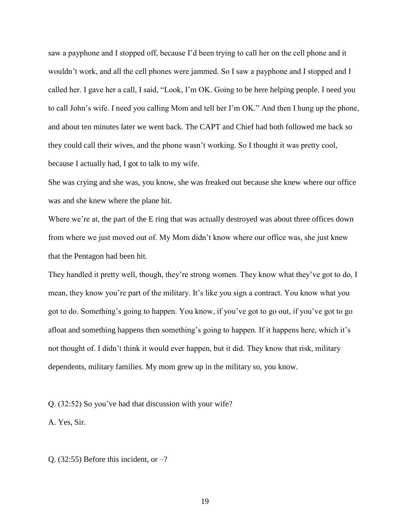saw a payphone and I stopped off, because I'd been trying to call her on the cell phone and it wouldn't work, and all the cell phones were jammed. So I saw a payphone and I stopped and I called her. I gave her a call, I said, "Look, I'm OK. Going to be here helping people. I need you to call John's wife. I need you calling Mom and tell her I'm OK." And then I hung up the phone, and about ten minutes later we went back. The CAPT and Chief had both followed me back so they could call their wives, and the phone wasn't working. So I thought it was pretty cool, because I actually had, I got to talk to my wife.

She was crying and she was, you know, she was freaked out because she knew where our office was and she knew where the plane hit.

Where we're at, the part of the E ring that was actually destroyed was about three offices down from where we just moved out of. My Mom didn't know where our office was, she just knew that the Pentagon had been hit.

They handled it pretty well, though, they're strong women. They know what they've got to do, I mean, they know you're part of the military. It's like you sign a contract. You know what you got to do. Something's going to happen. You know, if you've got to go out, if you've got to go afloat and something happens then something's going to happen. If it happens here, which it's not thought of. I didn't think it would ever happen, but it did. They know that risk, military dependents, military families. My mom grew up in the military so, you know.

Q. (32:52) So you've had that discussion with your wife?

A. Yes, Sir.

Q. (32:55) Before this incident, or  $-$ ?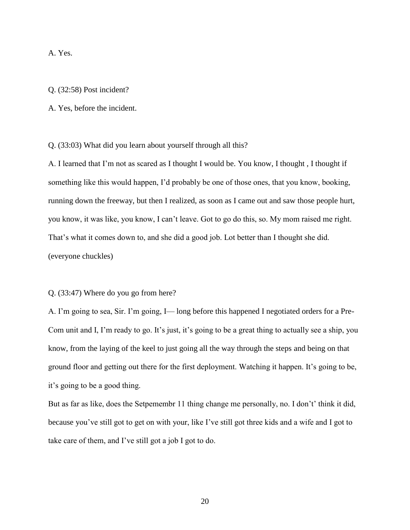A. Yes.

### Q. (32:58) Post incident?

A. Yes, before the incident.

Q. (33:03) What did you learn about yourself through all this?

A. I learned that I'm not as scared as I thought I would be. You know, I thought , I thought if something like this would happen, I'd probably be one of those ones, that you know, booking, running down the freeway, but then I realized, as soon as I came out and saw those people hurt, you know, it was like, you know, I can't leave. Got to go do this, so. My mom raised me right. That's what it comes down to, and she did a good job. Lot better than I thought she did. (everyone chuckles)

#### Q. (33:47) Where do you go from here?

A. I'm going to sea, Sir. I'm going, I— long before this happened I negotiated orders for a Pre-Com unit and I, I'm ready to go. It's just, it's going to be a great thing to actually see a ship, you know, from the laying of the keel to just going all the way through the steps and being on that ground floor and getting out there for the first deployment. Watching it happen. It's going to be, it's going to be a good thing.

But as far as like, does the Setpemembr 11 thing change me personally, no. I don't' think it did, because you've still got to get on with your, like I've still got three kids and a wife and I got to take care of them, and I've still got a job I got to do.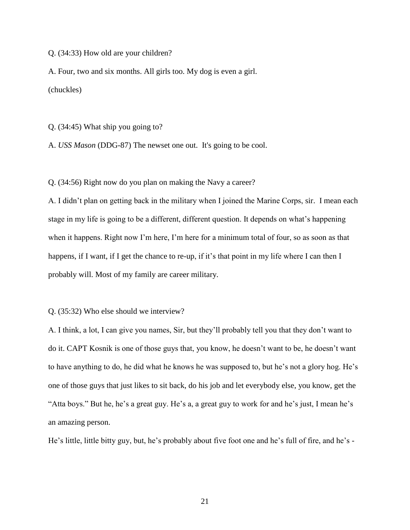Q. (34:33) How old are your children?

A. Four, two and six months. All girls too. My dog is even a girl. (chuckles)

Q. (34:45) What ship you going to?

A. *USS Mason* (DDG-87) The newset one out. It's going to be cool.

Q. (34:56) Right now do you plan on making the Navy a career?

A. I didn't plan on getting back in the military when I joined the Marine Corps, sir. I mean each stage in my life is going to be a different, different question. It depends on what's happening when it happens. Right now I'm here, I'm here for a minimum total of four, so as soon as that happens, if I want, if I get the chance to re-up, if it's that point in my life where I can then I probably will. Most of my family are career military.

Q. (35:32) Who else should we interview?

A. I think, a lot, I can give you names, Sir, but they'll probably tell you that they don't want to do it. CAPT Kosnik is one of those guys that, you know, he doesn't want to be, he doesn't want to have anything to do, he did what he knows he was supposed to, but he's not a glory hog. He's one of those guys that just likes to sit back, do his job and let everybody else, you know, get the "Atta boys." But he, he's a great guy. He's a, a great guy to work for and he's just, I mean he's an amazing person.

He's little, little bitty guy, but, he's probably about five foot one and he's full of fire, and he's -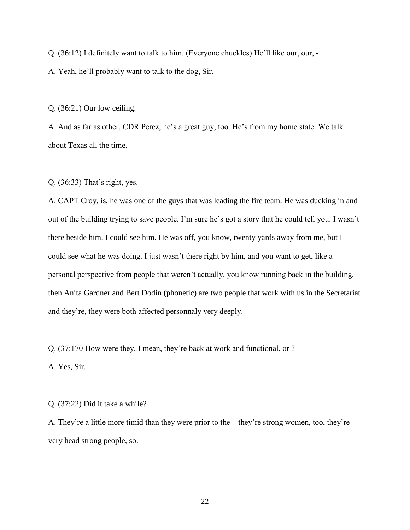Q. (36:12) I definitely want to talk to him. (Everyone chuckles) He'll like our, our, -

A. Yeah, he'll probably want to talk to the dog, Sir.

Q. (36:21) Our low ceiling.

A. And as far as other, CDR Perez, he's a great guy, too. He's from my home state. We talk about Texas all the time.

Q. (36:33) That's right, yes.

A. CAPT Croy, is, he was one of the guys that was leading the fire team. He was ducking in and out of the building trying to save people. I'm sure he's got a story that he could tell you. I wasn't there beside him. I could see him. He was off, you know, twenty yards away from me, but I could see what he was doing. I just wasn't there right by him, and you want to get, like a personal perspective from people that weren't actually, you know running back in the building, then Anita Gardner and Bert Dodin (phonetic) are two people that work with us in the Secretariat and they're, they were both affected personnaly very deeply.

Q. (37:170 How were they, I mean, they're back at work and functional, or ?

A. Yes, Sir.

## Q. (37:22) Did it take a while?

A. They're a little more timid than they were prior to the—they're strong women, too, they're very head strong people, so.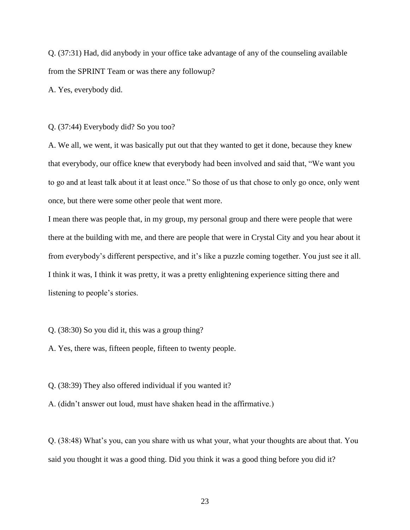Q. (37:31) Had, did anybody in your office take advantage of any of the counseling available from the SPRINT Team or was there any followup?

A. Yes, everybody did.

Q. (37:44) Everybody did? So you too?

A. We all, we went, it was basically put out that they wanted to get it done, because they knew that everybody, our office knew that everybody had been involved and said that, "We want you to go and at least talk about it at least once." So those of us that chose to only go once, only went once, but there were some other peole that went more.

I mean there was people that, in my group, my personal group and there were people that were there at the building with me, and there are people that were in Crystal City and you hear about it from everybody's different perspective, and it's like a puzzle coming together. You just see it all. I think it was, I think it was pretty, it was a pretty enlightening experience sitting there and listening to people's stories.

Q. (38:30) So you did it, this was a group thing?

A. Yes, there was, fifteen people, fifteen to twenty people.

Q. (38:39) They also offered individual if you wanted it?

A. (didn't answer out loud, must have shaken head in the affirmative.)

Q. (38:48) What's you, can you share with us what your, what your thoughts are about that. You said you thought it was a good thing. Did you think it was a good thing before you did it?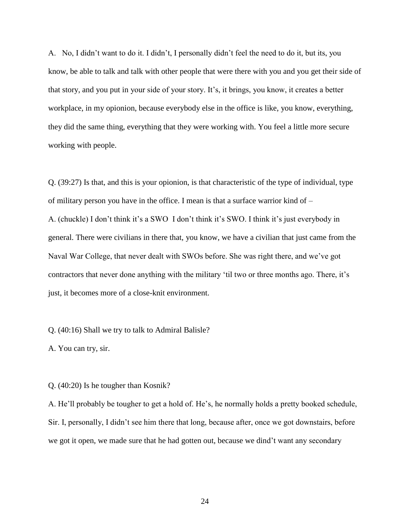A. No, I didn't want to do it. I didn't, I personally didn't feel the need to do it, but its, you know, be able to talk and talk with other people that were there with you and you get their side of that story, and you put in your side of your story. It's, it brings, you know, it creates a better workplace, in my opionion, because everybody else in the office is like, you know, everything, they did the same thing, everything that they were working with. You feel a little more secure working with people.

Q. (39:27) Is that, and this is your opionion, is that characteristic of the type of individual, type of military person you have in the office. I mean is that a surface warrior kind of – A. (chuckle) I don't think it's a SWO I don't think it's SWO. I think it's just everybody in general. There were civilians in there that, you know, we have a civilian that just came from the Naval War College, that never dealt with SWOs before. She was right there, and we've got contractors that never done anything with the military 'til two or three months ago. There, it's just, it becomes more of a close-knit environment.

Q. (40:16) Shall we try to talk to Admiral Balisle?

A. You can try, sir.

Q. (40:20) Is he tougher than Kosnik?

A. He'll probably be tougher to get a hold of. He's, he normally holds a pretty booked schedule, Sir. I, personally, I didn't see him there that long, because after, once we got downstairs, before we got it open, we made sure that he had gotten out, because we dind't want any secondary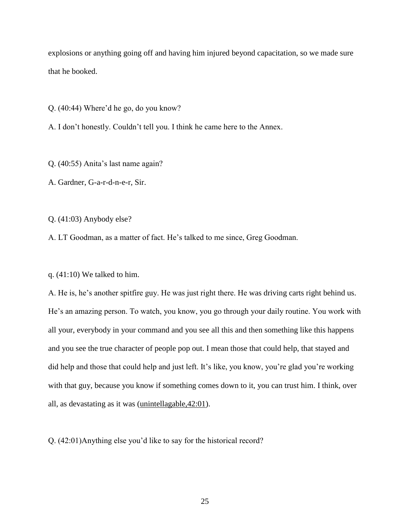explosions or anything going off and having him injured beyond capacitation, so we made sure that he booked.

Q. (40:44) Where'd he go, do you know?

A. I don't honestly. Couldn't tell you. I think he came here to the Annex.

Q. (40:55) Anita's last name again?

A. Gardner, G-a-r-d-n-e-r, Sir.

Q. (41:03) Anybody else?

A. LT Goodman, as a matter of fact. He's talked to me since, Greg Goodman.

q. (41:10) We talked to him.

A. He is, he's another spitfire guy. He was just right there. He was driving carts right behind us. He's an amazing person. To watch, you know, you go through your daily routine. You work with all your, everybody in your command and you see all this and then something like this happens and you see the true character of people pop out. I mean those that could help, that stayed and did help and those that could help and just left. It's like, you know, you're glad you're working with that guy, because you know if something comes down to it, you can trust him. I think, over all, as devastating as it was (unintellagable,42:01).

Q. (42:01)Anything else you'd like to say for the historical record?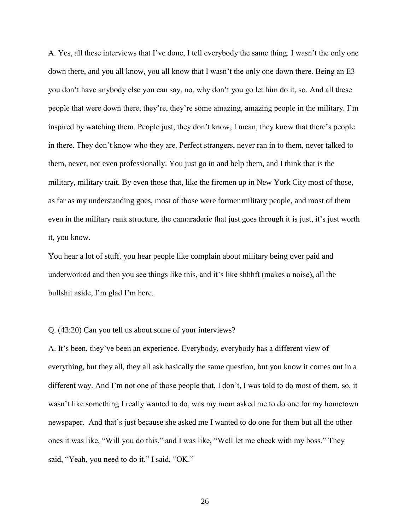A. Yes, all these interviews that I've done, I tell everybody the same thing. I wasn't the only one down there, and you all know, you all know that I wasn't the only one down there. Being an E3 you don't have anybody else you can say, no, why don't you go let him do it, so. And all these people that were down there, they're, they're some amazing, amazing people in the military. I'm inspired by watching them. People just, they don't know, I mean, they know that there's people in there. They don't know who they are. Perfect strangers, never ran in to them, never talked to them, never, not even professionally. You just go in and help them, and I think that is the military, military trait. By even those that, like the firemen up in New York City most of those, as far as my understanding goes, most of those were former military people, and most of them even in the military rank structure, the camaraderie that just goes through it is just, it's just worth it, you know.

You hear a lot of stuff, you hear people like complain about military being over paid and underworked and then you see things like this, and it's like shhhft (makes a noise), all the bullshit aside, I'm glad I'm here.

### Q. (43:20) Can you tell us about some of your interviews?

A. It's been, they've been an experience. Everybody, everybody has a different view of everything, but they all, they all ask basically the same question, but you know it comes out in a different way. And I'm not one of those people that, I don't, I was told to do most of them, so, it wasn't like something I really wanted to do, was my mom asked me to do one for my hometown newspaper. And that's just because she asked me I wanted to do one for them but all the other ones it was like, "Will you do this," and I was like, "Well let me check with my boss." They said, "Yeah, you need to do it." I said, "OK."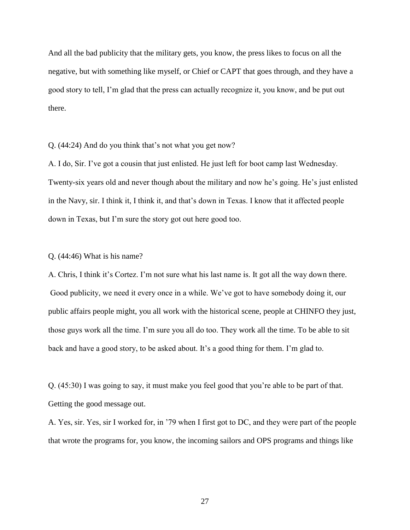And all the bad publicity that the military gets, you know, the press likes to focus on all the negative, but with something like myself, or Chief or CAPT that goes through, and they have a good story to tell, I'm glad that the press can actually recognize it, you know, and be put out there.

Q. (44:24) And do you think that's not what you get now?

A. I do, Sir. I've got a cousin that just enlisted. He just left for boot camp last Wednesday. Twenty-six years old and never though about the military and now he's going. He's just enlisted in the Navy, sir. I think it, I think it, and that's down in Texas. I know that it affected people down in Texas, but I'm sure the story got out here good too.

### Q. (44:46) What is his name?

A. Chris, I think it's Cortez. I'm not sure what his last name is. It got all the way down there. Good publicity, we need it every once in a while. We've got to have somebody doing it, our public affairs people might, you all work with the historical scene, people at CHINFO they just, those guys work all the time. I'm sure you all do too. They work all the time. To be able to sit back and have a good story, to be asked about. It's a good thing for them. I'm glad to.

Q. (45:30) I was going to say, it must make you feel good that you're able to be part of that. Getting the good message out.

A. Yes, sir. Yes, sir I worked for, in '79 when I first got to DC, and they were part of the people that wrote the programs for, you know, the incoming sailors and OPS programs and things like